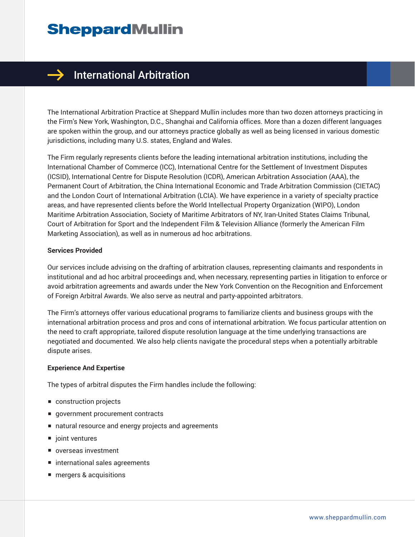

### $\rightarrow$  International Arbitration

The International Arbitration Practice at Sheppard Mullin includes more than two dozen attorneys practicing in the Firm's New York, Washington, D.C., Shanghai and California offices. More than a dozen different languages are spoken within the group, and our attorneys practice globally as well as being licensed in various domestic jurisdictions, including many U.S. states, England and Wales.

The Firm regularly represents clients before the leading international arbitration institutions, including the International Chamber of Commerce (ICC), International Centre for the Settlement of Investment Disputes (ICSID), International Centre for Dispute Resolution (ICDR), American Arbitration Association (AAA), the Permanent Court of Arbitration, the China International Economic and Trade Arbitration Commission (CIETAC) and the London Court of International Arbitration (LCIA). We have experience in a variety of specialty practice areas, and have represented clients before the World Intellectual Property Organization (WIPO), London Maritime Arbitration Association, Society of Maritime Arbitrators of NY, Iran-United States Claims Tribunal, Court of Arbitration for Sport and the Independent Film & Television Alliance (formerly the American Film Marketing Association), as well as in numerous ad hoc arbitrations.

#### **Services Provided**

Our services include advising on the drafting of arbitration clauses, representing claimants and respondents in institutional and ad hoc arbitral proceedings and, when necessary, representing parties in litigation to enforce or avoid arbitration agreements and awards under the New York Convention on the Recognition and Enforcement of Foreign Arbitral Awards. We also serve as neutral and party-appointed arbitrators.

The Firm's attorneys offer various educational programs to familiarize clients and business groups with the international arbitration process and pros and cons of international arbitration. We focus particular attention on the need to craft appropriate, tailored dispute resolution language at the time underlying transactions are negotiated and documented. We also help clients navigate the procedural steps when a potentially arbitrable dispute arises.

#### **Experience And Expertise**

The types of arbitral disputes the Firm handles include the following:

- construction projects
- government procurement contracts
- natural resource and energy projects and agreements
- joint ventures
- overseas investment
- international sales agreements
- mergers & acquisitions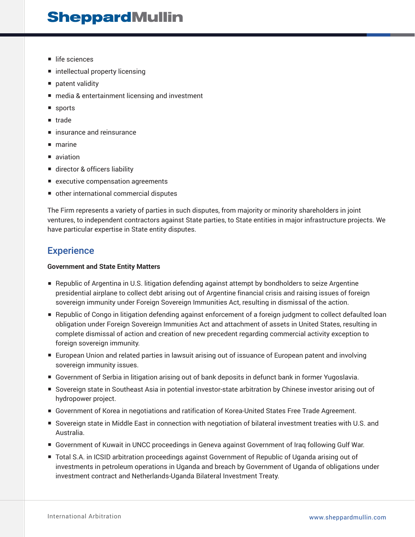- life sciences
- intellectual property licensing
- patent validity
- media & entertainment licensing and investment
- sports
- trade
- insurance and reinsurance
- marine
- aviation
- director & officers liability
- executive compensation agreements
- other international commercial disputes

The Firm represents a variety of parties in such disputes, from majority or minority shareholders in joint ventures, to independent contractors against State parties, to State entities in major infrastructure projects. We have particular expertise in State entity disputes.

### **Experience**

#### **Government and State Entity Matters**

- Republic of Argentina in U.S. litigation defending against attempt by bondholders to seize Argentine presidential airplane to collect debt arising out of Argentine financial crisis and raising issues of foreign sovereign immunity under Foreign Sovereign Immunities Act, resulting in dismissal of the action.
- Republic of Congo in litigation defending against enforcement of a foreign judgment to collect defaulted loan obligation under Foreign Sovereign Immunities Act and attachment of assets in United States, resulting in complete dismissal of action and creation of new precedent regarding commercial activity exception to foreign sovereign immunity.
- European Union and related parties in lawsuit arising out of issuance of European patent and involving sovereign immunity issues.
- Government of Serbia in litigation arising out of bank deposits in defunct bank in former Yugoslavia.
- Sovereign state in Southeast Asia in potential investor-state arbitration by Chinese investor arising out of hydropower project.
- Government of Korea in negotiations and ratification of Korea-United States Free Trade Agreement.
- Sovereign state in Middle East in connection with negotiation of bilateral investment treaties with U.S. and Australia.
- Government of Kuwait in UNCC proceedings in Geneva against Government of Iraq following Gulf War.
- Total S.A. in ICSID arbitration proceedings against Government of Republic of Uganda arising out of investments in petroleum operations in Uganda and breach by Government of Uganda of obligations under investment contract and Netherlands-Uganda Bilateral Investment Treaty.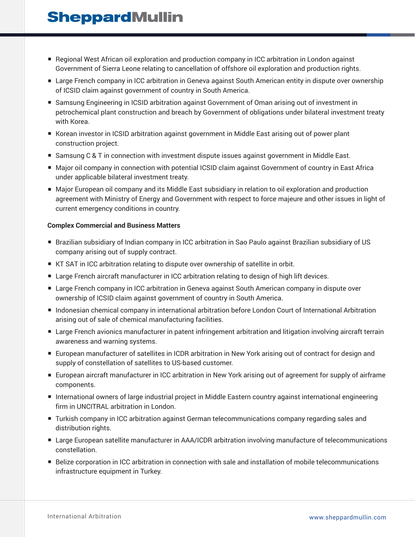- Regional West African oil exploration and production company in ICC arbitration in London against Government of Sierra Leone relating to cancellation of offshore oil exploration and production rights.
- Large French company in ICC arbitration in Geneva against South American entity in dispute over ownership of ICSID claim against government of country in South America.
- Samsung Engineering in ICSID arbitration against Government of Oman arising out of investment in petrochemical plant construction and breach by Government of obligations under bilateral investment treaty with Korea.
- Korean investor in ICSID arbitration against government in Middle East arising out of power plant construction project.
- Samsung C & T in connection with investment dispute issues against government in Middle East.
- Major oil company in connection with potential ICSID claim against Government of country in East Africa under applicable bilateral investment treaty.
- Major European oil company and its Middle East subsidiary in relation to oil exploration and production agreement with Ministry of Energy and Government with respect to force majeure and other issues in light of current emergency conditions in country.

#### **Complex Commercial and Business Matters**

- Brazilian subsidiary of Indian company in ICC arbitration in Sao Paulo against Brazilian subsidiary of US company arising out of supply contract.
- KT SAT in ICC arbitration relating to dispute over ownership of satellite in orbit.
- Large French aircraft manufacturer in ICC arbitration relating to design of high lift devices.
- Large French company in ICC arbitration in Geneva against South American company in dispute over ownership of ICSID claim against government of country in South America.
- Indonesian chemical company in international arbitration before London Court of International Arbitration arising out of sale of chemical manufacturing facilities.
- Large French avionics manufacturer in patent infringement arbitration and litigation involving aircraft terrain awareness and warning systems.
- European manufacturer of satellites in ICDR arbitration in New York arising out of contract for design and supply of constellation of satellites to US-based customer.
- European aircraft manufacturer in ICC arbitration in New York arising out of agreement for supply of airframe components.
- International owners of large industrial project in Middle Eastern country against international engineering firm in UNCITRAL arbitration in London.
- Turkish company in ICC arbitration against German telecommunications company regarding sales and distribution rights.
- Large European satellite manufacturer in AAA/ICDR arbitration involving manufacture of telecommunications constellation.
- Belize corporation in ICC arbitration in connection with sale and installation of mobile telecommunications infrastructure equipment in Turkey.